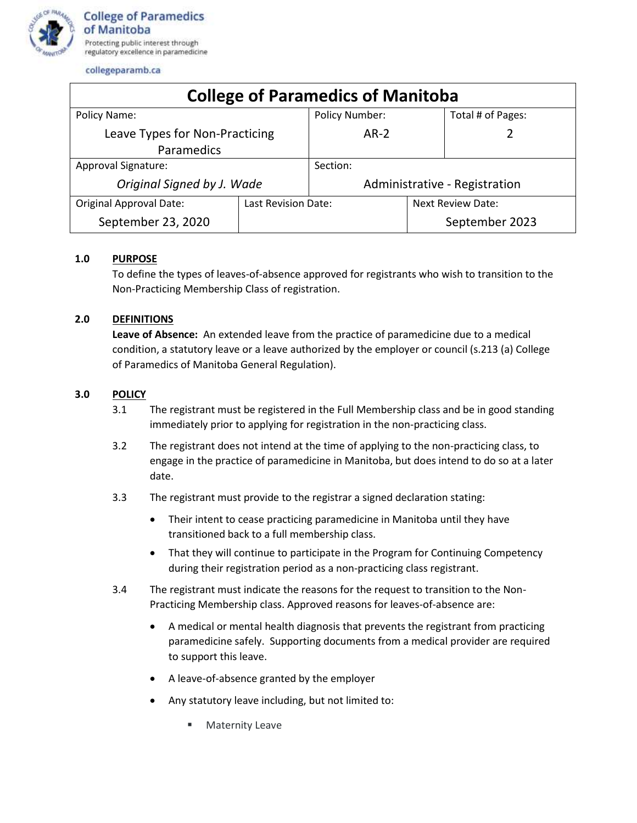

collegeparamb.ca

| <b>College of Paramedics of Manitoba</b> |                     |                               |                   |                   |
|------------------------------------------|---------------------|-------------------------------|-------------------|-------------------|
| Policy Name:                             |                     | <b>Policy Number:</b>         |                   | Total # of Pages: |
| Leave Types for Non-Practicing           |                     | $AR-2$                        |                   |                   |
| Paramedics                               |                     |                               |                   |                   |
| Approval Signature:                      |                     | Section:                      |                   |                   |
| Original Signed by J. Wade               |                     | Administrative - Registration |                   |                   |
| <b>Original Approval Date:</b>           | Last Revision Date: |                               | Next Review Date: |                   |
| September 23, 2020                       |                     |                               |                   | September 2023    |

## **1.0 PURPOSE**

To define the types of leaves-of-absence approved for registrants who wish to transition to the Non-Practicing Membership Class of registration.

## **2.0 DEFINITIONS**

**Leave of Absence:** An extended leave from the practice of paramedicine due to a medical condition, a statutory leave or a leave authorized by the employer or council (s.213 (a) College of Paramedics of Manitoba General Regulation).

## **3.0 POLICY**

- 3.1 The registrant must be registered in the Full Membership class and be in good standing immediately prior to applying for registration in the non-practicing class.
- 3.2 The registrant does not intend at the time of applying to the non-practicing class, to engage in the practice of paramedicine in Manitoba, but does intend to do so at a later date.
- 3.3 The registrant must provide to the registrar a signed declaration stating:
	- Their intent to cease practicing paramedicine in Manitoba until they have transitioned back to a full membership class.
	- That they will continue to participate in the Program for Continuing Competency during their registration period as a non-practicing class registrant.
- 3.4 The registrant must indicate the reasons for the request to transition to the Non-Practicing Membership class. Approved reasons for leaves-of-absence are:
	- A medical or mental health diagnosis that prevents the registrant from practicing paramedicine safely. Supporting documents from a medical provider are required to support this leave.
	- A leave-of-absence granted by the employer
	- Any statutory leave including, but not limited to:
		- Maternity Leave